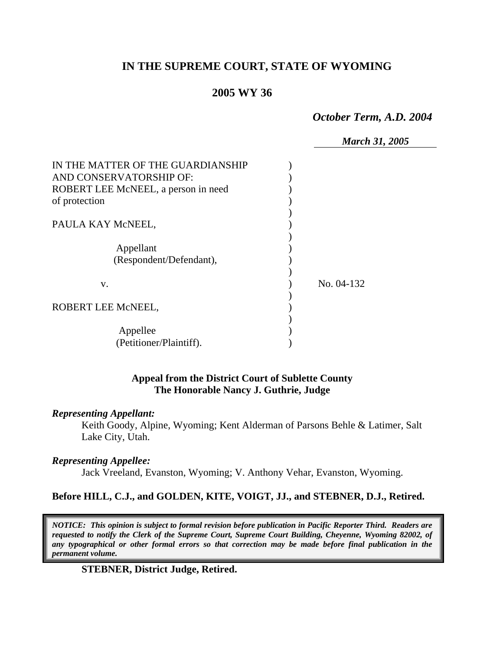# **IN THE SUPREME COURT, STATE OF WYOMING**

## **2005 WY 36**

*October Term, A.D. 2004* 

*March 31, 2005* 

| IN THE MATTER OF THE GUARDIANSHIP<br>AND CONSERVATORSHIP OF: |            |
|--------------------------------------------------------------|------------|
| ROBERT LEE McNEEL, a person in need                          |            |
| of protection                                                |            |
|                                                              |            |
| PAULA KAY McNEEL,                                            |            |
|                                                              |            |
| Appellant                                                    |            |
| (Respondent/Defendant),                                      |            |
|                                                              |            |
| V.                                                           | No. 04-132 |
|                                                              |            |
| ROBERT LEE McNEEL,                                           |            |
|                                                              |            |
| Appellee                                                     |            |
|                                                              |            |
| (Petitioner/Plaintiff).                                      |            |

## **Appeal from the District Court of Sublette County The Honorable Nancy J. Guthrie, Judge**

#### *Representing Appellant:*

Keith Goody, Alpine, Wyoming; Kent Alderman of Parsons Behle & Latimer, Salt Lake City, Utah.

### *Representing Appellee:*

Jack Vreeland, Evanston, Wyoming; V. Anthony Vehar, Evanston, Wyoming.

### **Before HILL, C.J., and GOLDEN, KITE, VOIGT, JJ., and STEBNER, D.J., Retired.**

*NOTICE: This opinion is subject to formal revision before publication in Pacific Reporter Third. Readers are requested to notify the Clerk of the Supreme Court, Supreme Court Building, Cheyenne, Wyoming 82002, of any typographical or other formal errors so that correction may be made before final publication in the permanent volume.*

### **STEBNER, District Judge, Retired.**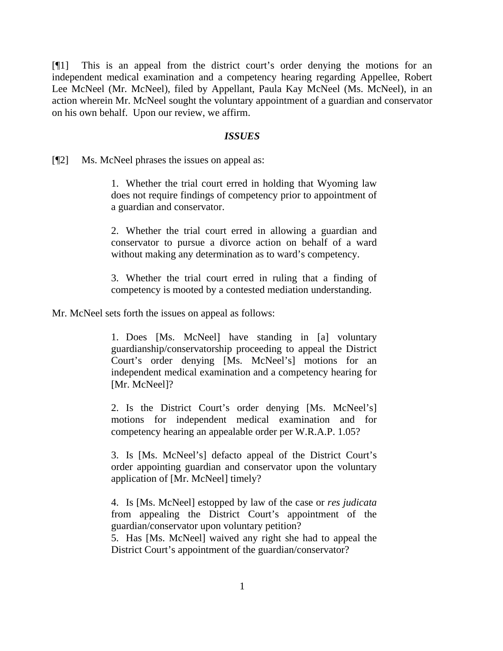[¶1] This is an appeal from the district court's order denying the motions for an independent medical examination and a competency hearing regarding Appellee, Robert Lee McNeel (Mr. McNeel), filed by Appellant, Paula Kay McNeel (Ms. McNeel), in an action wherein Mr. McNeel sought the voluntary appointment of a guardian and conservator on his own behalf. Upon our review, we affirm.

#### *ISSUES*

[¶2] Ms. McNeel phrases the issues on appeal as:

1. Whether the trial court erred in holding that Wyoming law does not require findings of competency prior to appointment of a guardian and conservator.

2. Whether the trial court erred in allowing a guardian and conservator to pursue a divorce action on behalf of a ward without making any determination as to ward's competency.

3. Whether the trial court erred in ruling that a finding of competency is mooted by a contested mediation understanding.

Mr. McNeel sets forth the issues on appeal as follows:

1. Does [Ms. McNeel] have standing in [a] voluntary guardianship/conservatorship proceeding to appeal the District Court's order denying [Ms. McNeel's] motions for an independent medical examination and a competency hearing for [Mr. McNeel]?

2. Is the District Court's order denying [Ms. McNeel's] motions for independent medical examination and for competency hearing an appealable order per W.R.A.P. 1.05?

3. Is [Ms. McNeel's] defacto appeal of the District Court's order appointing guardian and conservator upon the voluntary application of [Mr. McNeel] timely?

4. Is [Ms. McNeel] estopped by law of the case or *res judicata*  from appealing the District Court's appointment of the guardian/conservator upon voluntary petition?

5. Has [Ms. McNeel] waived any right she had to appeal the District Court's appointment of the guardian/conservator?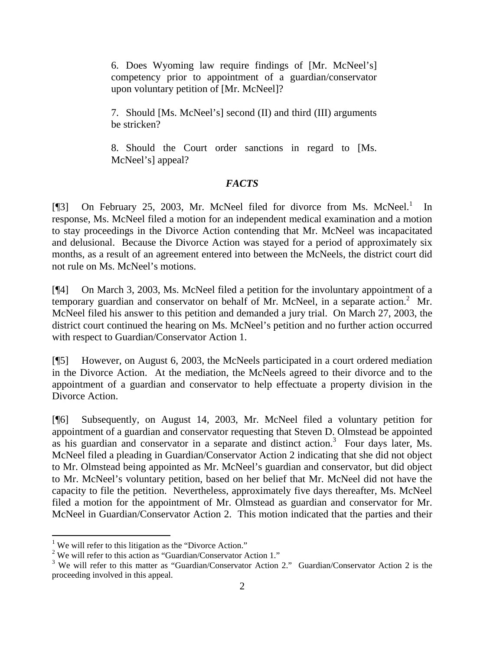6. Does Wyoming law require findings of [Mr. McNeel's] competency prior to appointment of a guardian/conservator upon voluntary petition of [Mr. McNeel]?

7. Should [Ms. McNeel's] second (II) and third (III) arguments be stricken?

8. Should the Court order sanctions in regard to [Ms. McNeel's] appeal?

### *FACTS*

[¶3] On February 25, 2003, Mr. McNeel filed for divorce from Ms. McNeel.<sup>[1](#page-2-0)</sup> In response, Ms. McNeel filed a motion for an independent medical examination and a motion to stay proceedings in the Divorce Action contending that Mr. McNeel was incapacitated and delusional. Because the Divorce Action was stayed for a period of approximately six months, as a result of an agreement entered into between the McNeels, the district court did not rule on Ms. McNeel's motions.

[¶4] On March 3, 2003, Ms. McNeel filed a petition for the involuntary appointment of a temporary guardian and conservator on behalf of Mr. McNeel, in a separate action.<sup>[2](#page-2-1)</sup> Mr. McNeel filed his answer to this petition and demanded a jury trial. On March 27, 2003, the district court continued the hearing on Ms. McNeel's petition and no further action occurred with respect to Guardian/Conservator Action 1.

[¶5] However, on August 6, 2003, the McNeels participated in a court ordered mediation in the Divorce Action. At the mediation, the McNeels agreed to their divorce and to the appointment of a guardian and conservator to help effectuate a property division in the Divorce Action.

[¶6] Subsequently, on August 14, 2003, Mr. McNeel filed a voluntary petition for appointment of a guardian and conservator requesting that Steven D. Olmstead be appointed as his guardian and conservator in a separate and distinct action.<sup>[3](#page-2-2)</sup> Four days later, Ms. McNeel filed a pleading in Guardian/Conservator Action 2 indicating that she did not object to Mr. Olmstead being appointed as Mr. McNeel's guardian and conservator, but did object to Mr. McNeel's voluntary petition, based on her belief that Mr. McNeel did not have the capacity to file the petition. Nevertheless, approximately five days thereafter, Ms. McNeel filed a motion for the appointment of Mr. Olmstead as guardian and conservator for Mr. McNeel in Guardian/Conservator Action 2. This motion indicated that the parties and their

 $\overline{a}$ 

<span id="page-2-0"></span><sup>&</sup>lt;sup>1</sup> We will refer to this litigation as the "Divorce Action."

<span id="page-2-1"></span><sup>&</sup>lt;sup>2</sup> We will refer to this action as "Guardian/Conservator Action 1."

<span id="page-2-2"></span><sup>&</sup>lt;sup>3</sup> We will refer to this matter as "Guardian/Conservator Action 2." Guardian/Conservator Action 2 is the proceeding involved in this appeal.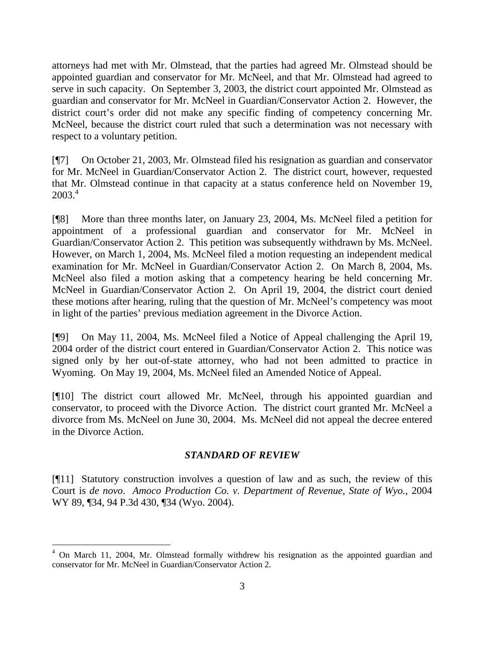attorneys had met with Mr. Olmstead, that the parties had agreed Mr. Olmstead should be appointed guardian and conservator for Mr. McNeel, and that Mr. Olmstead had agreed to serve in such capacity. On September 3, 2003, the district court appointed Mr. Olmstead as guardian and conservator for Mr. McNeel in Guardian/Conservator Action 2. However, the district court's order did not make any specific finding of competency concerning Mr. McNeel, because the district court ruled that such a determination was not necessary with respect to a voluntary petition.

[¶7] On October 21, 2003, Mr. Olmstead filed his resignation as guardian and conservator for Mr. McNeel in Guardian/Conservator Action 2. The district court, however, requested that Mr. Olmstead continue in that capacity at a status conference held on November 19, 2003.[4](#page-3-0)

[¶8] More than three months later, on January 23, 2004, Ms. McNeel filed a petition for appointment of a professional guardian and conservator for Mr. McNeel in Guardian/Conservator Action 2. This petition was subsequently withdrawn by Ms. McNeel. However, on March 1, 2004, Ms. McNeel filed a motion requesting an independent medical examination for Mr. McNeel in Guardian/Conservator Action 2. On March 8, 2004, Ms. McNeel also filed a motion asking that a competency hearing be held concerning Mr. McNeel in Guardian/Conservator Action 2. On April 19, 2004, the district court denied these motions after hearing, ruling that the question of Mr. McNeel's competency was moot in light of the parties' previous mediation agreement in the Divorce Action.

[¶9] On May 11, 2004, Ms. McNeel filed a Notice of Appeal challenging the April 19, 2004 order of the district court entered in Guardian/Conservator Action 2. This notice was signed only by her out-of-state attorney, who had not been admitted to practice in Wyoming. On May 19, 2004, Ms. McNeel filed an Amended Notice of Appeal.

[¶10] The district court allowed Mr. McNeel, through his appointed guardian and conservator, to proceed with the Divorce Action. The district court granted Mr. McNeel a divorce from Ms. McNeel on June 30, 2004. Ms. McNeel did not appeal the decree entered in the Divorce Action.

#### *STANDARD OF REVIEW*

[¶11] Statutory construction involves a question of law and as such, the review of this Court is *de novo*. *Amoco Production Co. v. Department of Revenue, State of Wyo.*, 2004 WY 89, ¶34, 94 P.3d 430, ¶34 (Wyo. 2004).

 $\overline{a}$ 

<span id="page-3-0"></span><sup>&</sup>lt;sup>4</sup> On March 11, 2004, Mr. Olmstead formally withdrew his resignation as the appointed guardian and conservator for Mr. McNeel in Guardian/Conservator Action 2.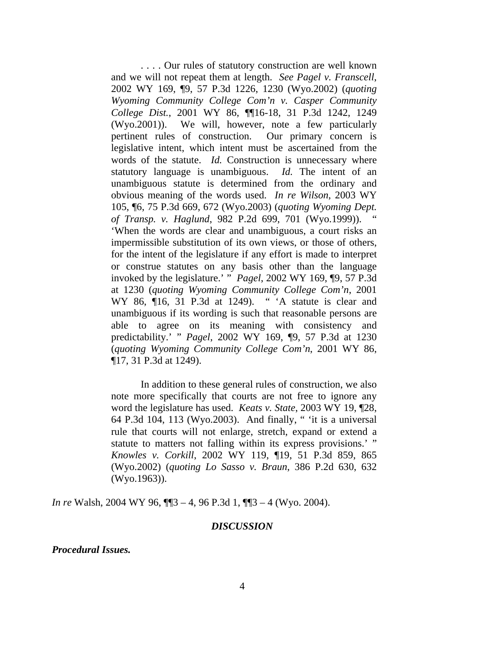. . . . Our rules of statutory construction are well known and we will not repeat them at length. *See Pagel v. Franscell*, 2002 WY 169, ¶9, 57 P.3d 1226, 1230 (Wyo.2002) (*quoting Wyoming Community College Com'n v. Casper Community College Dist.*, 2001 WY 86, ¶¶16-18, 31 P.3d 1242, 1249 (Wyo.2001)). We will, however, note a few particularly pertinent rules of construction. Our primary concern is legislative intent, which intent must be ascertained from the words of the statute. *Id.* Construction is unnecessary where statutory language is unambiguous. *Id.* The intent of an unambiguous statute is determined from the ordinary and obvious meaning of the words used. *In re Wilson*, 2003 WY 105, ¶6, 75 P.3d 669, 672 (Wyo.2003) (*quoting Wyoming Dept. of Transp. v. Haglund*, 982 P.2d 699, 701 (Wyo.1999)). " 'When the words are clear and unambiguous, a court risks an impermissible substitution of its own views, or those of others, for the intent of the legislature if any effort is made to interpret or construe statutes on any basis other than the language invoked by the legislature.' " *Pagel*, 2002 WY 169, ¶9, 57 P.3d at 1230 (*quoting Wyoming Community College Com'n*, 2001 WY 86, ¶16, 31 P.3d at 1249). " 'A statute is clear and unambiguous if its wording is such that reasonable persons are able to agree on its meaning with consistency and predictability.' " *Pagel*, 2002 WY 169, ¶9, 57 P.3d at 1230 (*quoting Wyoming Community College Com'n*, 2001 WY 86, ¶17, 31 P.3d at 1249).

 In addition to these general rules of construction, we also note more specifically that courts are not free to ignore any word the legislature has used. *Keats v. State*, 2003 WY 19, ¶28, 64 P.3d 104, 113 (Wyo.2003). And finally, " 'it is a universal rule that courts will not enlarge, stretch, expand or extend a statute to matters not falling within its express provisions.' " *Knowles v. Corkill*, 2002 WY 119, ¶19, 51 P.3d 859, 865 (Wyo.2002) (*quoting Lo Sasso v. Braun*, 386 P.2d 630, 632 (Wyo.1963)).

*In re* Walsh, 2004 WY 96, ¶¶3 – 4, 96 P.3d 1, ¶¶3 – 4 (Wyo. 2004).

#### *DISCUSSION*

*Procedural Issues.*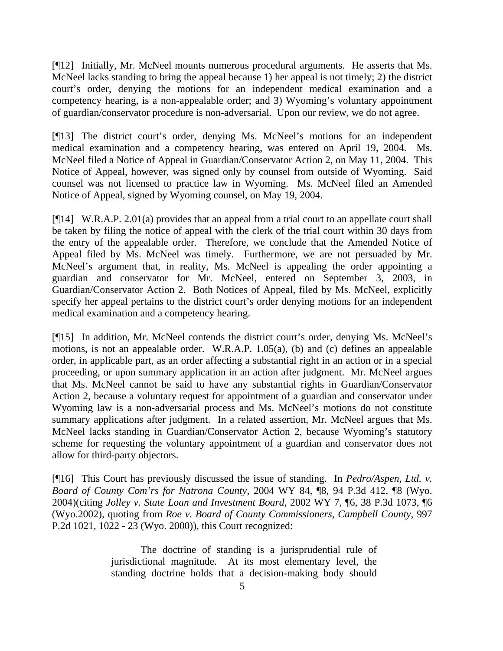[¶12] Initially, Mr. McNeel mounts numerous procedural arguments. He asserts that Ms. McNeel lacks standing to bring the appeal because 1) her appeal is not timely; 2) the district court's order, denying the motions for an independent medical examination and a competency hearing, is a non-appealable order; and 3) Wyoming's voluntary appointment of guardian/conservator procedure is non-adversarial. Upon our review, we do not agree.

[¶13] The district court's order, denying Ms. McNeel's motions for an independent medical examination and a competency hearing, was entered on April 19, 2004. Ms. McNeel filed a Notice of Appeal in Guardian/Conservator Action 2, on May 11, 2004. This Notice of Appeal, however, was signed only by counsel from outside of Wyoming. Said counsel was not licensed to practice law in Wyoming. Ms. McNeel filed an Amended Notice of Appeal, signed by Wyoming counsel, on May 19, 2004.

[¶14] W.R.A.P. 2.01(a) provides that an appeal from a trial court to an appellate court shall be taken by filing the notice of appeal with the clerk of the trial court within 30 days from the entry of the appealable order. Therefore, we conclude that the Amended Notice of Appeal filed by Ms. McNeel was timely. Furthermore, we are not persuaded by Mr. McNeel's argument that, in reality, Ms. McNeel is appealing the order appointing a guardian and conservator for Mr. McNeel, entered on September 3, 2003, in Guardian/Conservator Action 2. Both Notices of Appeal, filed by Ms. McNeel, explicitly specify her appeal pertains to the district court's order denying motions for an independent medical examination and a competency hearing.

[¶15] In addition, Mr. McNeel contends the district court's order, denying Ms. McNeel's motions, is not an appealable order. W.R.A.P. 1.05(a), (b) and (c) defines an appealable order, in applicable part, as an order affecting a substantial right in an action or in a special proceeding, or upon summary application in an action after judgment. Mr. McNeel argues that Ms. McNeel cannot be said to have any substantial rights in Guardian/Conservator Action 2, because a voluntary request for appointment of a guardian and conservator under Wyoming law is a non-adversarial process and Ms. McNeel's motions do not constitute summary applications after judgment. In a related assertion, Mr. McNeel argues that Ms. McNeel lacks standing in Guardian/Conservator Action 2, because Wyoming's statutory scheme for requesting the voluntary appointment of a guardian and conservator does not allow for third-party objectors.

[¶16] This Court has previously discussed the issue of standing. In *Pedro/Aspen, Ltd. v. Board of County Com'rs for Natrona County*, 2004 WY 84, ¶8, 94 P.3d 412, ¶8 (Wyo. 2004)(citing *Jolley v. State Loan and Investment Board*, 2002 WY 7, ¶6, 38 P.3d 1073, ¶6 (Wyo.2002), quoting from *Roe v. Board of County Commissioners, Campbell County*, 997 P.2d 1021, 1022 - 23 (Wyo. 2000)), this Court recognized:

> The doctrine of standing is a jurisprudential rule of jurisdictional magnitude. At its most elementary level, the standing doctrine holds that a decision-making body should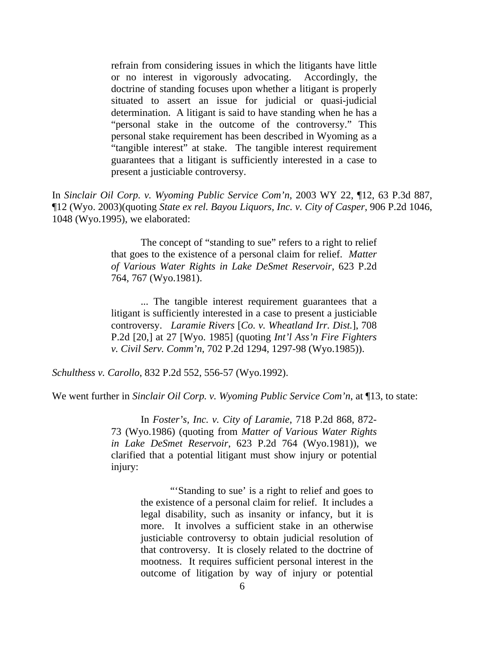refrain from considering issues in which the litigants have little or no interest in vigorously advocating. Accordingly, the doctrine of standing focuses upon whether a litigant is properly situated to assert an issue for judicial or quasi-judicial determination. A litigant is said to have standing when he has a "personal stake in the outcome of the controversy." This personal stake requirement has been described in Wyoming as a "tangible interest" at stake. The tangible interest requirement guarantees that a litigant is sufficiently interested in a case to present a justiciable controversy.

In *Sinclair Oil Corp. v. Wyoming Public Service Com'n*, 2003 WY 22, ¶12, 63 P.3d 887, ¶12 (Wyo. 2003)(quoting *State ex rel. Bayou Liquors, Inc. v. City of Casper*, 906 P.2d 1046, 1048 (Wyo.1995), we elaborated:

> The concept of "standing to sue" refers to a right to relief that goes to the existence of a personal claim for relief. *Matter of Various Water Rights in Lake DeSmet Reservoir*, 623 P.2d 764, 767 (Wyo.1981).

> ... The tangible interest requirement guarantees that a litigant is sufficiently interested in a case to present a justiciable controversy. *Laramie Rivers* [*Co. v. Wheatland Irr. Dist.*], 708 P.2d [20,] at 27 [Wyo. 1985] (quoting *Int'l Ass'n Fire Fighters v. Civil Serv. Comm'n*, 702 P.2d 1294, 1297-98 (Wyo.1985)).

*Schulthess v. Carollo*, 832 P.2d 552, 556-57 (Wyo.1992).

We went further in *Sinclair Oil Corp. v. Wyoming Public Service Com'n*, at ¶13, to state:

In *Foster's, Inc. v. City of Laramie*, 718 P.2d 868, 872- 73 (Wyo.1986) (quoting from *Matter of Various Water Rights in Lake DeSmet Reservoir*, 623 P.2d 764 (Wyo.1981)), we clarified that a potential litigant must show injury or potential injury:

> "'Standing to sue' is a right to relief and goes to the existence of a personal claim for relief. It includes a legal disability, such as insanity or infancy, but it is more. It involves a sufficient stake in an otherwise justiciable controversy to obtain judicial resolution of that controversy. It is closely related to the doctrine of mootness. It requires sufficient personal interest in the outcome of litigation by way of injury or potential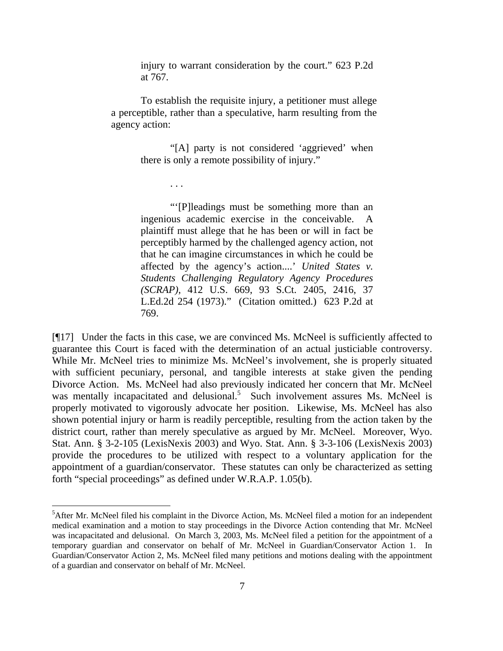injury to warrant consideration by the court." 623 P.2d at 767.

To establish the requisite injury, a petitioner must allege a perceptible, rather than a speculative, harm resulting from the agency action:

. . .

"[A] party is not considered 'aggrieved' when there is only a remote possibility of injury."

"'[P]leadings must be something more than an ingenious academic exercise in the conceivable. plaintiff must allege that he has been or will in fact be perceptibly harmed by the challenged agency action, not that he can imagine circumstances in which he could be affected by the agency's action....' *United States v. Students Challenging Regulatory Agency Procedures (SCRAP)*, 412 U.S. 669, 93 S.Ct. 2405, 2416, 37 L.Ed.2d 254 (1973)." (Citation omitted.) 623 P.2d at 769.

[¶17] Under the facts in this case, we are convinced Ms. McNeel is sufficiently affected to guarantee this Court is faced with the determination of an actual justiciable controversy. While Mr. McNeel tries to minimize Ms. McNeel's involvement, she is properly situated with sufficient pecuniary, personal, and tangible interests at stake given the pending Divorce Action. Ms. McNeel had also previously indicated her concern that Mr. McNeel was mentally incapacitated and delusional.<sup>[5](#page-7-0)</sup> Such involvement assures Ms. McNeel is properly motivated to vigorously advocate her position. Likewise, Ms. McNeel has also shown potential injury or harm is readily perceptible, resulting from the action taken by the district court, rather than merely speculative as argued by Mr. McNeel. Moreover, Wyo. Stat. Ann. § 3-2-105 (LexisNexis 2003) and Wyo. Stat. Ann. § 3-3-106 (LexisNexis 2003) provide the procedures to be utilized with respect to a voluntary application for the appointment of a guardian/conservator. These statutes can only be characterized as setting forth "special proceedings" as defined under W.R.A.P. 1.05(b).

 $\overline{a}$ 

<span id="page-7-0"></span><sup>&</sup>lt;sup>5</sup>After Mr. McNeel filed his complaint in the Divorce Action, Ms. McNeel filed a motion for an independent medical examination and a motion to stay proceedings in the Divorce Action contending that Mr. McNeel was incapacitated and delusional. On March 3, 2003, Ms. McNeel filed a petition for the appointment of a temporary guardian and conservator on behalf of Mr. McNeel in Guardian/Conservator Action 1. In Guardian/Conservator Action 2, Ms. McNeel filed many petitions and motions dealing with the appointment of a guardian and conservator on behalf of Mr. McNeel.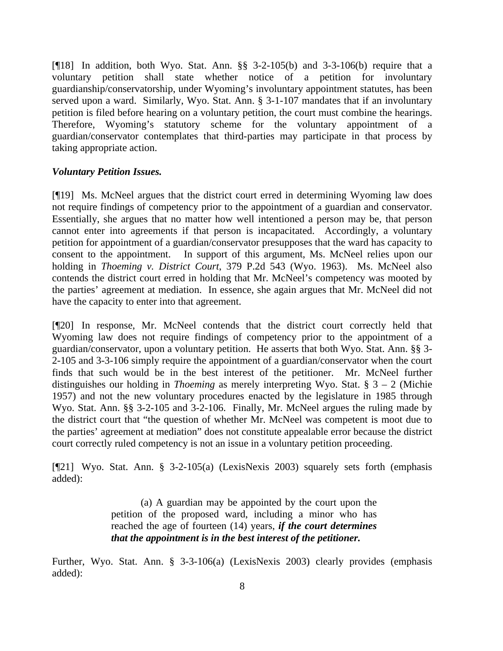[ $[18]$ ] In addition, both Wyo. Stat. Ann. §§ 3-2-105(b) and 3-3-106(b) require that a voluntary petition shall state whether notice of a petition for involuntary guardianship/conservatorship, under Wyoming's involuntary appointment statutes, has been served upon a ward. Similarly, Wyo. Stat. Ann. § 3-1-107 mandates that if an involuntary petition is filed before hearing on a voluntary petition, the court must combine the hearings. Therefore, Wyoming's statutory scheme for the voluntary appointment of a guardian/conservator contemplates that third-parties may participate in that process by taking appropriate action.

## *Voluntary Petition Issues.*

[¶19] Ms. McNeel argues that the district court erred in determining Wyoming law does not require findings of competency prior to the appointment of a guardian and conservator. Essentially, she argues that no matter how well intentioned a person may be, that person cannot enter into agreements if that person is incapacitated. Accordingly, a voluntary petition for appointment of a guardian/conservator presupposes that the ward has capacity to consent to the appointment. In support of this argument, Ms. McNeel relies upon our holding in *Thoeming v. District Court*, 379 P.2d 543 (Wyo. 1963). Ms. McNeel also contends the district court erred in holding that Mr. McNeel's competency was mooted by the parties' agreement at mediation. In essence, she again argues that Mr. McNeel did not have the capacity to enter into that agreement.

[¶20] In response, Mr. McNeel contends that the district court correctly held that Wyoming law does not require findings of competency prior to the appointment of a guardian/conservator, upon a voluntary petition. He asserts that both Wyo. Stat. Ann. §§ 3- 2-105 and 3-3-106 simply require the appointment of a guardian/conservator when the court finds that such would be in the best interest of the petitioner. Mr. McNeel further distinguishes our holding in *Thoeming* as merely interpreting Wyo. Stat. § 3 – 2 (Michie 1957) and not the new voluntary procedures enacted by the legislature in 1985 through Wyo. Stat. Ann. §§ 3-2-105 and 3-2-106. Finally, Mr. McNeel argues the ruling made by the district court that "the question of whether Mr. McNeel was competent is moot due to the parties' agreement at mediation" does not constitute appealable error because the district court correctly ruled competency is not an issue in a voluntary petition proceeding.

[¶21] Wyo. Stat. Ann. § 3-2-105(a) (LexisNexis 2003) squarely sets forth (emphasis added):

> (a) A guardian may be appointed by the court upon the petition of the proposed ward, including a minor who has reached the age of fourteen (14) years, *if the court determines that the appointment is in the best interest of the petitioner.*

Further, Wyo. Stat. Ann. § 3-3-106(a) (LexisNexis 2003) clearly provides (emphasis added):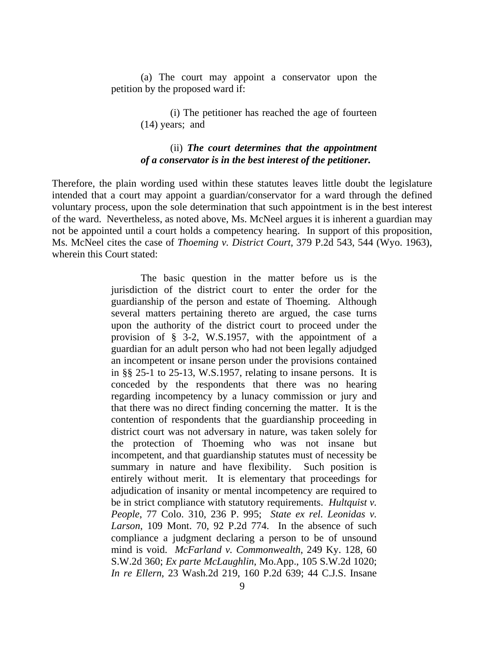(a) The court may appoint a conservator upon the petition by the proposed ward if:

> (i) The petitioner has reached the age of fourteen (14) years; and

### (ii) *The court determines that the appointment of a conservator is in the best interest of the petitioner.*

Therefore, the plain wording used within these statutes leaves little doubt the legislature intended that a court may appoint a guardian/conservator for a ward through the defined voluntary process, upon the sole determination that such appointment is in the best interest of the ward. Nevertheless, as noted above, Ms. McNeel argues it is inherent a guardian may not be appointed until a court holds a competency hearing. In support of this proposition, Ms. McNeel cites the case of *Thoeming v. District Court*, 379 P.2d 543, 544 (Wyo. 1963), wherein this Court stated:

> The basic question in the matter before us is the jurisdiction of the district court to enter the order for the guardianship of the person and estate of Thoeming. Although several matters pertaining thereto are argued, the case turns upon the authority of the district court to proceed under the provision of § 3-2, W.S.1957, with the appointment of a guardian for an adult person who had not been legally adjudged an incompetent or insane person under the provisions contained in §§ 25-1 to 25-13, W.S.1957, relating to insane persons. It is conceded by the respondents that there was no hearing regarding incompetency by a lunacy commission or jury and that there was no direct finding concerning the matter. It is the contention of respondents that the guardianship proceeding in district court was not adversary in nature, was taken solely for the protection of Thoeming who was not insane but incompetent, and that guardianship statutes must of necessity be summary in nature and have flexibility. Such position is entirely without merit. It is elementary that proceedings for adjudication of insanity or mental incompetency are required to be in strict compliance with statutory requirements. *Hultquist v. People*, 77 Colo. 310, 236 P. 995; *State ex rel. Leonidas v. Larson*, 109 Mont. 70, 92 P.2d 774. In the absence of such compliance a judgment declaring a person to be of unsound mind is void. *McFarland v. Commonwealth*, 249 Ky. 128, 60 S.W.2d 360; *Ex parte McLaughlin*, Mo.App., 105 S.W.2d 1020; *In re Ellern*, 23 Wash.2d 219, 160 P.2d 639; 44 C.J.S. Insane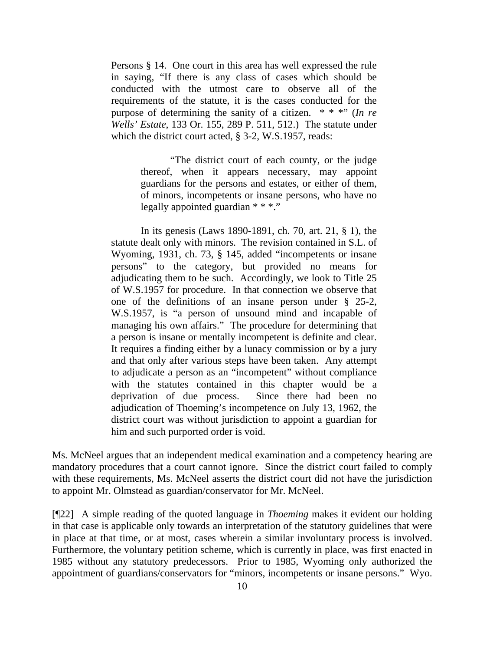Persons § 14. One court in this area has well expressed the rule in saying, "If there is any class of cases which should be conducted with the utmost care to observe all of the requirements of the statute, it is the cases conducted for the purpose of determining the sanity of a citizen. \* \* \*" (*In re Wells' Estate*, 133 Or. 155, 289 P. 511, 512.) The statute under which the district court acted, § 3-2, W.S.1957, reads:

> "The district court of each county, or the judge thereof, when it appears necessary, may appoint guardians for the persons and estates, or either of them, of minors, incompetents or insane persons, who have no legally appointed guardian \* \* \*."

In its genesis (Laws 1890-1891, ch. 70, art. 21, § 1), the statute dealt only with minors. The revision contained in S.L. of Wyoming, 1931, ch. 73, § 145, added "incompetents or insane persons" to the category, but provided no means for adjudicating them to be such. Accordingly, we look to Title 25 of W.S.1957 for procedure. In that connection we observe that one of the definitions of an insane person under § 25-2, W.S.1957, is "a person of unsound mind and incapable of managing his own affairs." The procedure for determining that a person is insane or mentally incompetent is definite and clear. It requires a finding either by a lunacy commission or by a jury and that only after various steps have been taken. Any attempt to adjudicate a person as an "incompetent" without compliance with the statutes contained in this chapter would be a deprivation of due process. Since there had been no adjudication of Thoeming's incompetence on July 13, 1962, the district court was without jurisdiction to appoint a guardian for him and such purported order is void.

Ms. McNeel argues that an independent medical examination and a competency hearing are mandatory procedures that a court cannot ignore. Since the district court failed to comply with these requirements, Ms. McNeel asserts the district court did not have the jurisdiction to appoint Mr. Olmstead as guardian/conservator for Mr. McNeel.

[¶22] A simple reading of the quoted language in *Thoeming* makes it evident our holding in that case is applicable only towards an interpretation of the statutory guidelines that were in place at that time, or at most, cases wherein a similar involuntary process is involved. Furthermore, the voluntary petition scheme, which is currently in place, was first enacted in 1985 without any statutory predecessors. Prior to 1985, Wyoming only authorized the appointment of guardians/conservators for "minors, incompetents or insane persons." Wyo.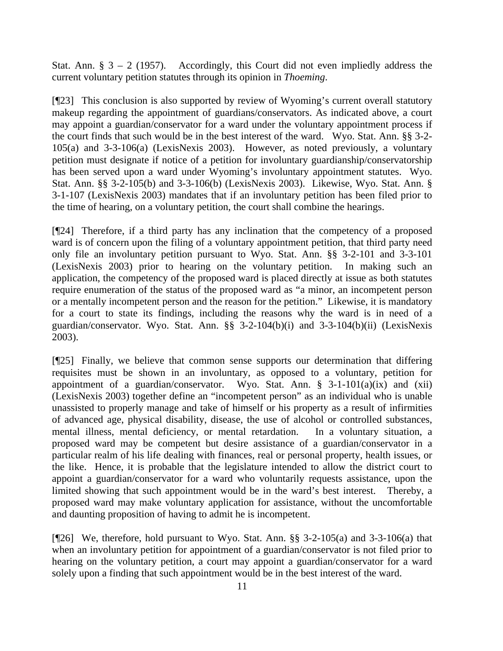Stat. Ann.  $\S$  3 – 2 (1957). Accordingly, this Court did not even impliedly address the current voluntary petition statutes through its opinion in *Thoeming*.

[¶23] This conclusion is also supported by review of Wyoming's current overall statutory makeup regarding the appointment of guardians/conservators. As indicated above, a court may appoint a guardian/conservator for a ward under the voluntary appointment process if the court finds that such would be in the best interest of the ward. Wyo. Stat. Ann. §§ 3-2- 105(a) and 3-3-106(a) (LexisNexis 2003). However, as noted previously, a voluntary petition must designate if notice of a petition for involuntary guardianship/conservatorship has been served upon a ward under Wyoming's involuntary appointment statutes. Wyo. Stat. Ann. §§ 3-2-105(b) and 3-3-106(b) (LexisNexis 2003). Likewise, Wyo. Stat. Ann. § 3-1-107 (LexisNexis 2003) mandates that if an involuntary petition has been filed prior to the time of hearing, on a voluntary petition, the court shall combine the hearings.

[¶24] Therefore, if a third party has any inclination that the competency of a proposed ward is of concern upon the filing of a voluntary appointment petition, that third party need only file an involuntary petition pursuant to Wyo. Stat. Ann. §§ 3-2-101 and 3-3-101 (LexisNexis 2003) prior to hearing on the voluntary petition. In making such an application, the competency of the proposed ward is placed directly at issue as both statutes require enumeration of the status of the proposed ward as "a minor, an incompetent person or a mentally incompetent person and the reason for the petition." Likewise, it is mandatory for a court to state its findings, including the reasons why the ward is in need of a guardian/conservator. Wyo. Stat. Ann. §§ 3-2-104(b)(i) and 3-3-104(b)(ii) (LexisNexis 2003).

[¶25] Finally, we believe that common sense supports our determination that differing requisites must be shown in an involuntary, as opposed to a voluntary, petition for appointment of a guardian/conservator. Wyo. Stat. Ann.  $\S$  3-1-101(a)(ix) and (xii) (LexisNexis 2003) together define an "incompetent person" as an individual who is unable unassisted to properly manage and take of himself or his property as a result of infirmities of advanced age, physical disability, disease, the use of alcohol or controlled substances, mental illness, mental deficiency, or mental retardation. In a voluntary situation, a proposed ward may be competent but desire assistance of a guardian/conservator in a particular realm of his life dealing with finances, real or personal property, health issues, or the like. Hence, it is probable that the legislature intended to allow the district court to appoint a guardian/conservator for a ward who voluntarily requests assistance, upon the limited showing that such appointment would be in the ward's best interest. Thereby, a proposed ward may make voluntary application for assistance, without the uncomfortable and daunting proposition of having to admit he is incompetent.

[¶26] We, therefore, hold pursuant to Wyo. Stat. Ann. §§ 3-2-105(a) and 3-3-106(a) that when an involuntary petition for appointment of a guardian/conservator is not filed prior to hearing on the voluntary petition, a court may appoint a guardian/conservator for a ward solely upon a finding that such appointment would be in the best interest of the ward.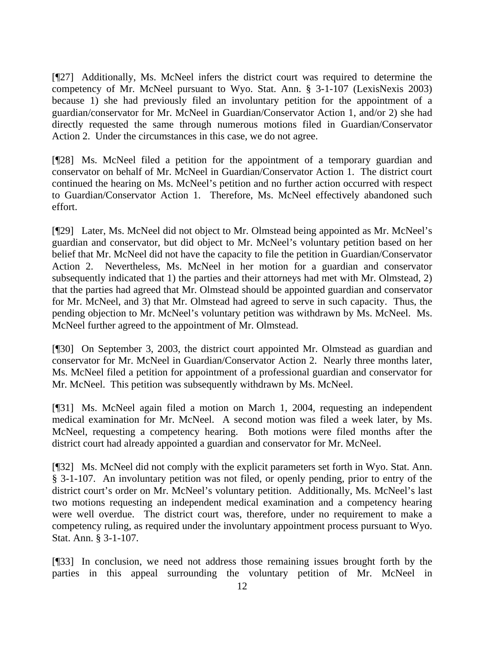[¶27] Additionally, Ms. McNeel infers the district court was required to determine the competency of Mr. McNeel pursuant to Wyo. Stat. Ann. § 3-1-107 (LexisNexis 2003) because 1) she had previously filed an involuntary petition for the appointment of a guardian/conservator for Mr. McNeel in Guardian/Conservator Action 1, and/or 2) she had directly requested the same through numerous motions filed in Guardian/Conservator Action 2. Under the circumstances in this case, we do not agree.

[¶28] Ms. McNeel filed a petition for the appointment of a temporary guardian and conservator on behalf of Mr. McNeel in Guardian/Conservator Action 1. The district court continued the hearing on Ms. McNeel's petition and no further action occurred with respect to Guardian/Conservator Action 1. Therefore, Ms. McNeel effectively abandoned such effort.

[¶29] Later, Ms. McNeel did not object to Mr. Olmstead being appointed as Mr. McNeel's guardian and conservator, but did object to Mr. McNeel's voluntary petition based on her belief that Mr. McNeel did not have the capacity to file the petition in Guardian/Conservator Action 2. Nevertheless, Ms. McNeel in her motion for a guardian and conservator subsequently indicated that 1) the parties and their attorneys had met with Mr. Olmstead, 2) that the parties had agreed that Mr. Olmstead should be appointed guardian and conservator for Mr. McNeel, and 3) that Mr. Olmstead had agreed to serve in such capacity. Thus, the pending objection to Mr. McNeel's voluntary petition was withdrawn by Ms. McNeel. Ms. McNeel further agreed to the appointment of Mr. Olmstead.

[¶30] On September 3, 2003, the district court appointed Mr. Olmstead as guardian and conservator for Mr. McNeel in Guardian/Conservator Action 2. Nearly three months later, Ms. McNeel filed a petition for appointment of a professional guardian and conservator for Mr. McNeel. This petition was subsequently withdrawn by Ms. McNeel.

[¶31] Ms. McNeel again filed a motion on March 1, 2004, requesting an independent medical examination for Mr. McNeel. A second motion was filed a week later, by Ms. McNeel, requesting a competency hearing. Both motions were filed months after the district court had already appointed a guardian and conservator for Mr. McNeel.

[¶32] Ms. McNeel did not comply with the explicit parameters set forth in Wyo. Stat. Ann. § 3-1-107. An involuntary petition was not filed, or openly pending, prior to entry of the district court's order on Mr. McNeel's voluntary petition. Additionally, Ms. McNeel's last two motions requesting an independent medical examination and a competency hearing were well overdue. The district court was, therefore, under no requirement to make a competency ruling, as required under the involuntary appointment process pursuant to Wyo. Stat. Ann. § 3-1-107.

[¶33] In conclusion, we need not address those remaining issues brought forth by the parties in this appeal surrounding the voluntary petition of Mr. McNeel in